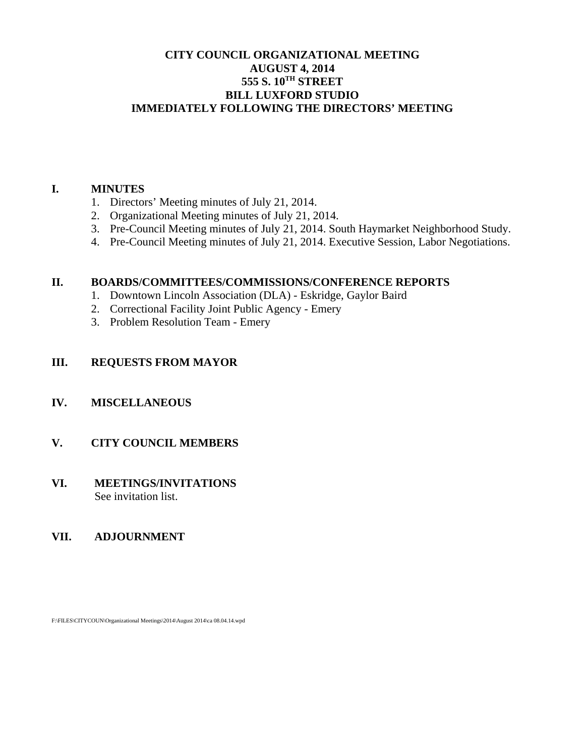# **CITY COUNCIL ORGANIZATIONAL MEETING AUGUST 4, 2014 555 S. 10TH STREET BILL LUXFORD STUDIO IMMEDIATELY FOLLOWING THE DIRECTORS' MEETING**

## **I. MINUTES**

- 1. Directors' Meeting minutes of July 21, 2014.
- 2. Organizational Meeting minutes of July 21, 2014.
- 3. Pre-Council Meeting minutes of July 21, 2014. South Haymarket Neighborhood Study.
- 4. Pre-Council Meeting minutes of July 21, 2014. Executive Session, Labor Negotiations.

## **II. BOARDS/COMMITTEES/COMMISSIONS/CONFERENCE REPORTS**

- 1. Downtown Lincoln Association (DLA) Eskridge, Gaylor Baird
- 2. Correctional Facility Joint Public Agency Emery
- 3. Problem Resolution Team Emery

# **III. REQUESTS FROM MAYOR**

# **IV. MISCELLANEOUS**

# **V. CITY COUNCIL MEMBERS**

#### **VI. MEETINGS/INVITATIONS** See invitation list.

# **VII. ADJOURNMENT**

F:\FILES\CITYCOUN\Organizational Meetings\2014\August 2014\ca 08.04.14.wpd